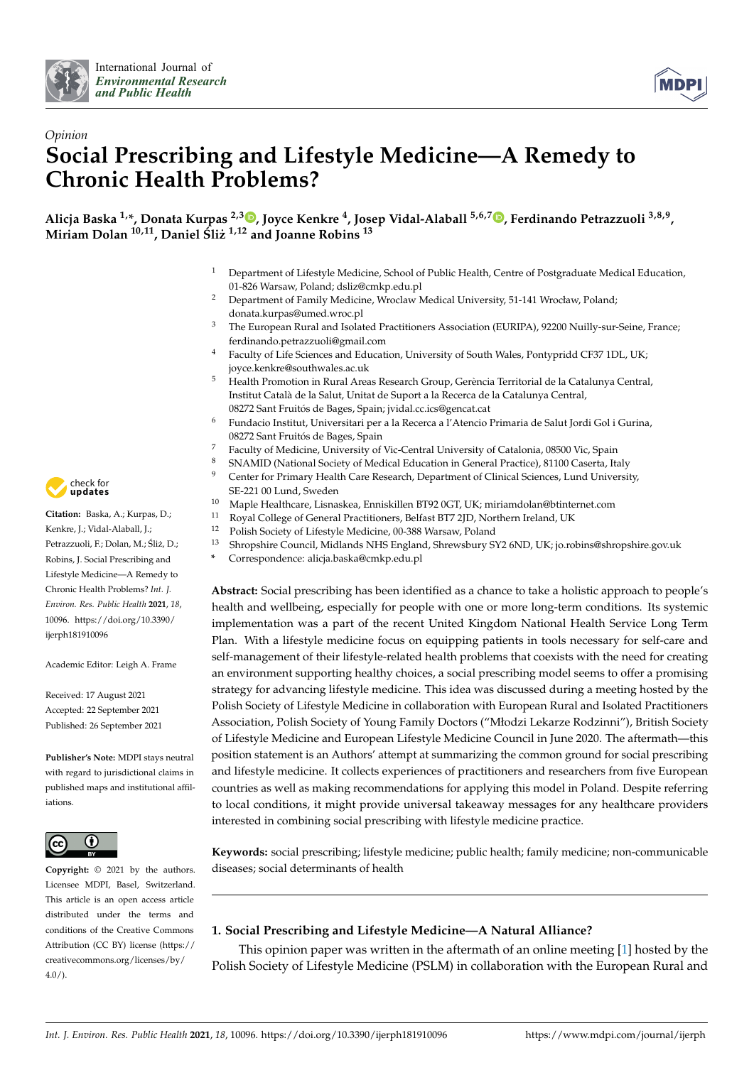



# *Opinion* **Social Prescribing and Lifestyle Medicine—A Remedy to Chronic Health Problems?**

**Alicja Baska 1,\*, Donata Kurpas 2,3 [,](https://orcid.org/0000-0002-6996-8920) Joyce Kenkre <sup>4</sup> , Josep Vidal-Alaball 5,6,7 [,](https://orcid.org/0000-0002-3527-4242) Ferdinando Petrazzuoli 3,8,9 , Miriam Dolan 10,11, Daniel Sli ´ z˙ 1,12 and Joanne Robins <sup>13</sup>**

- <sup>1</sup> Department of Lifestyle Medicine, School of Public Health, Centre of Postgraduate Medical Education, 01-826 Warsaw, Poland; dsliz@cmkp.edu.pl
- <sup>2</sup> Department of Family Medicine, Wroclaw Medical University, 51-141 Wrocław, Poland; donata.kurpas@umed.wroc.pl
- <sup>3</sup> The European Rural and Isolated Practitioners Association (EURIPA), 92200 Nuilly-sur-Seine, France; ferdinando.petrazzuoli@gmail.com
- <sup>4</sup> Faculty of Life Sciences and Education, University of South Wales, Pontypridd CF37 1DL, UK; joyce.kenkre@southwales.ac.uk
- <sup>5</sup> Health Promotion in Rural Areas Research Group, Gerència Territorial de la Catalunya Central, Institut Català de la Salut, Unitat de Suport a la Recerca de la Catalunya Central, 08272 Sant Fruitós de Bages, Spain; jvidal.cc.ics@gencat.cat
- <sup>6</sup> Fundacio Institut, Universitari per a la Recerca a l'Atencio Primaria de Salut Jordi Gol i Gurina, 08272 Sant Fruitós de Bages, Spain
- <sup>7</sup> Faculty of Medicine, University of Vic-Central University of Catalonia, 08500 Vic, Spain<br><sup>8</sup> SNAMID (National Society of Medical Education in Congral Practice), 81100 Caserta, It
- 8 SNAMID (National Society of Medical Education in General Practice), 81100 Caserta, Italy<br>9 Conter for Primary Hoalth Caro Research Department of Clinical Sciences, Lund University
- <sup>9</sup> Center for Primary Health Care Research, Department of Clinical Sciences, Lund University, SE-221 00 Lund, Sweden
- <sup>10</sup> Maple Healthcare, Lisnaskea, Enniskillen BT92 0GT, UK; miriamdolan@btinternet.com<br><sup>11</sup> Barrel Gallance (Granual Brasilijansen, Belfoet BT7 2JD, Martham Judend, JJK
- Royal College of General Practitioners, Belfast BT7 2JD, Northern Ireland, UK
- <sup>12</sup> Polish Society of Lifestyle Medicine, 00-388 Warsaw, Poland
- <sup>13</sup> Shropshire Council, Midlands NHS England, Shrewsbury SY2 6ND, UK; jo.robins@shropshire.gov.uk
- **\*** Correspondence: alicja.baska@cmkp.edu.pl

**Abstract:** Social prescribing has been identified as a chance to take a holistic approach to people's health and wellbeing, especially for people with one or more long-term conditions. Its systemic implementation was a part of the recent United Kingdom National Health Service Long Term Plan. With a lifestyle medicine focus on equipping patients in tools necessary for self-care and self-management of their lifestyle-related health problems that coexists with the need for creating an environment supporting healthy choices, a social prescribing model seems to offer a promising strategy for advancing lifestyle medicine. This idea was discussed during a meeting hosted by the Polish Society of Lifestyle Medicine in collaboration with European Rural and Isolated Practitioners Association, Polish Society of Young Family Doctors ("Młodzi Lekarze Rodzinni"), British Society of Lifestyle Medicine and European Lifestyle Medicine Council in June 2020. The aftermath—this position statement is an Authors' attempt at summarizing the common ground for social prescribing and lifestyle medicine. It collects experiences of practitioners and researchers from five European countries as well as making recommendations for applying this model in Poland. Despite referring to local conditions, it might provide universal takeaway messages for any healthcare providers interested in combining social prescribing with lifestyle medicine practice.

**Keywords:** social prescribing; lifestyle medicine; public health; family medicine; non-communicable diseases; social determinants of health

# **1. Social Prescribing and Lifestyle Medicine—A Natural Alliance?**

This opinion paper was written in the aftermath of an online meeting [\[1\]](#page-8-0) hosted by the Polish Society of Lifestyle Medicine (PSLM) in collaboration with the European Rural and



**Citation:** Baska, A.; Kurpas, D.; Kenkre, J.; Vidal-Alaball, J.; Petrazzuoli, F.; Dolan, M.; Śliż, D.; Robins, J. Social Prescribing and Lifestyle Medicine—A Remedy to Chronic Health Problems? *Int. J. Environ. Res. Public Health* **2021**, *18*, 10096. [https://doi.org/10.3390/](https://doi.org/10.3390/ijerph181910096) [ijerph181910096](https://doi.org/10.3390/ijerph181910096)

Academic Editor: Leigh A. Frame

Received: 17 August 2021 Accepted: 22 September 2021 Published: 26 September 2021

**Publisher's Note:** MDPI stays neutral with regard to jurisdictional claims in published maps and institutional affiliations.



**Copyright:** © 2021 by the authors. Licensee MDPI, Basel, Switzerland. This article is an open access article distributed under the terms and conditions of the Creative Commons Attribution (CC BY) license (https:/[/](https://creativecommons.org/licenses/by/4.0/) [creativecommons.org/licenses/by/](https://creativecommons.org/licenses/by/4.0/) 4.0/).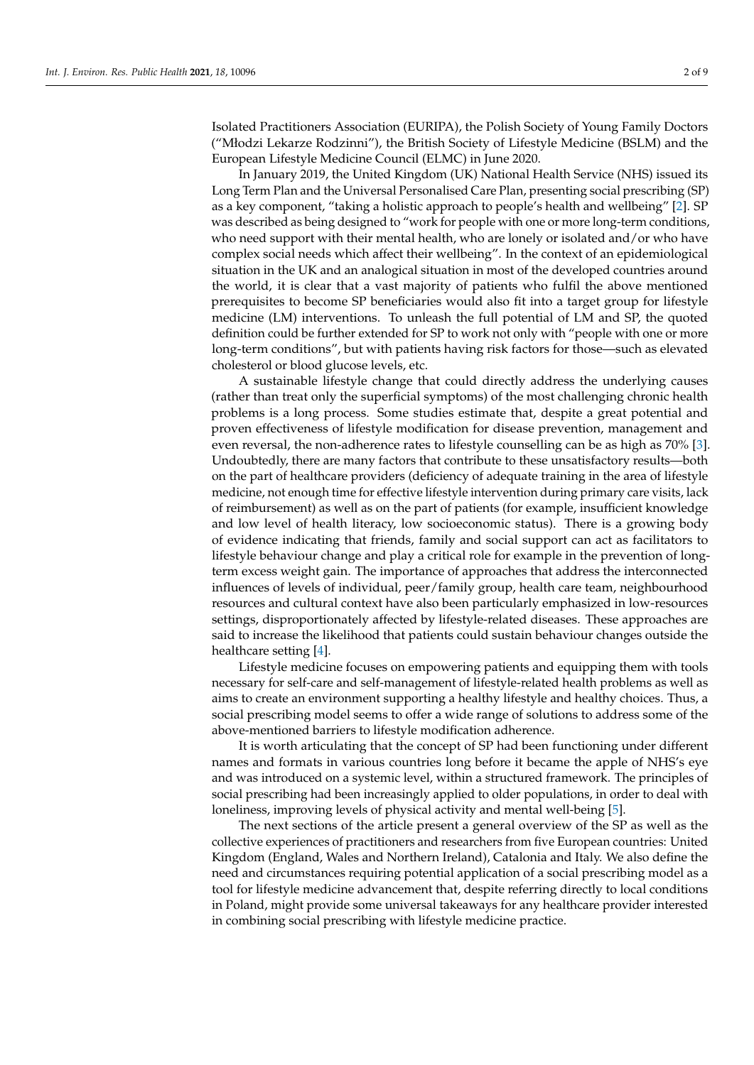Isolated Practitioners Association (EURIPA), the Polish Society of Young Family Doctors ("Młodzi Lekarze Rodzinni"), the British Society of Lifestyle Medicine (BSLM) and the European Lifestyle Medicine Council (ELMC) in June 2020.

In January 2019, the United Kingdom (UK) National Health Service (NHS) issued its Long Term Plan and the Universal Personalised Care Plan, presenting social prescribing (SP) as a key component, "taking a holistic approach to people's health and wellbeing" [\[2\]](#page-8-1). SP was described as being designed to "work for people with one or more long-term conditions, who need support with their mental health, who are lonely or isolated and/or who have complex social needs which affect their wellbeing". In the context of an epidemiological situation in the UK and an analogical situation in most of the developed countries around the world, it is clear that a vast majority of patients who fulfil the above mentioned prerequisites to become SP beneficiaries would also fit into a target group for lifestyle medicine (LM) interventions. To unleash the full potential of LM and SP, the quoted definition could be further extended for SP to work not only with "people with one or more long-term conditions", but with patients having risk factors for those—such as elevated cholesterol or blood glucose levels, etc.

A sustainable lifestyle change that could directly address the underlying causes (rather than treat only the superficial symptoms) of the most challenging chronic health problems is a long process. Some studies estimate that, despite a great potential and proven effectiveness of lifestyle modification for disease prevention, management and even reversal, the non-adherence rates to lifestyle counselling can be as high as 70% [\[3\]](#page-8-2). Undoubtedly, there are many factors that contribute to these unsatisfactory results—both on the part of healthcare providers (deficiency of adequate training in the area of lifestyle medicine, not enough time for effective lifestyle intervention during primary care visits, lack of reimbursement) as well as on the part of patients (for example, insufficient knowledge and low level of health literacy, low socioeconomic status). There is a growing body of evidence indicating that friends, family and social support can act as facilitators to lifestyle behaviour change and play a critical role for example in the prevention of longterm excess weight gain. The importance of approaches that address the interconnected influences of levels of individual, peer/family group, health care team, neighbourhood resources and cultural context have also been particularly emphasized in low-resources settings, disproportionately affected by lifestyle-related diseases. These approaches are said to increase the likelihood that patients could sustain behaviour changes outside the healthcare setting [\[4\]](#page-8-3).

Lifestyle medicine focuses on empowering patients and equipping them with tools necessary for self-care and self-management of lifestyle-related health problems as well as aims to create an environment supporting a healthy lifestyle and healthy choices. Thus, a social prescribing model seems to offer a wide range of solutions to address some of the above-mentioned barriers to lifestyle modification adherence.

It is worth articulating that the concept of SP had been functioning under different names and formats in various countries long before it became the apple of NHS's eye and was introduced on a systemic level, within a structured framework. The principles of social prescribing had been increasingly applied to older populations, in order to deal with loneliness, improving levels of physical activity and mental well-being [\[5\]](#page-8-4).

The next sections of the article present a general overview of the SP as well as the collective experiences of practitioners and researchers from five European countries: United Kingdom (England, Wales and Northern Ireland), Catalonia and Italy. We also define the need and circumstances requiring potential application of a social prescribing model as a tool for lifestyle medicine advancement that, despite referring directly to local conditions in Poland, might provide some universal takeaways for any healthcare provider interested in combining social prescribing with lifestyle medicine practice.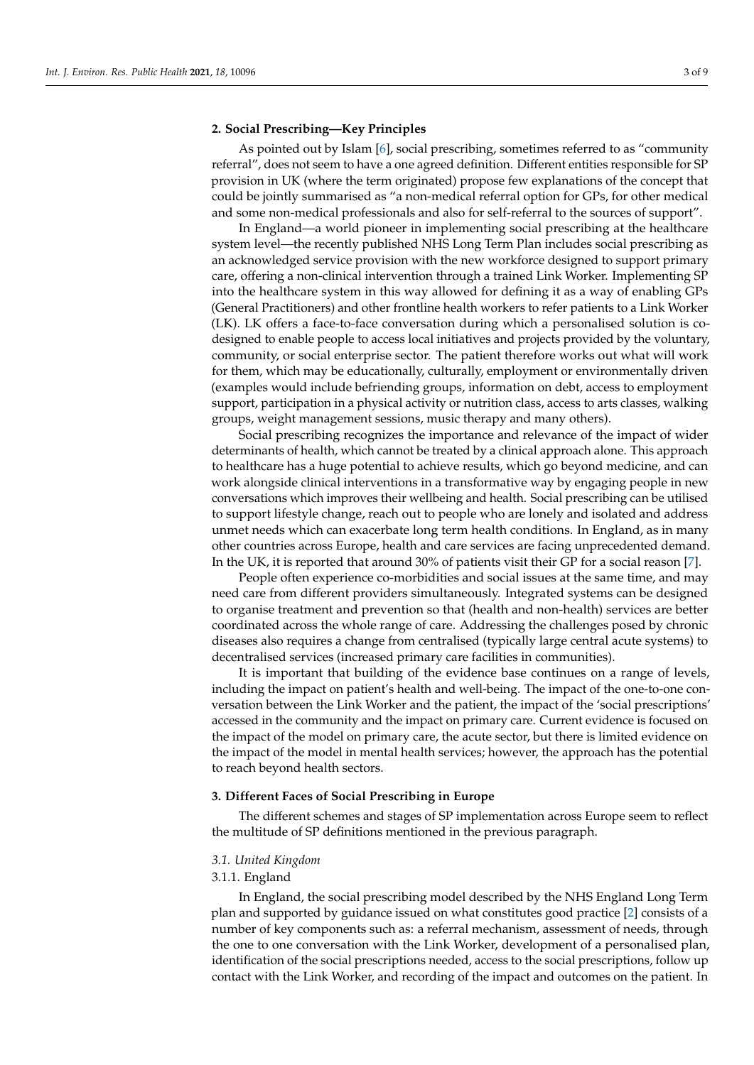### **2. Social Prescribing—Key Principles**

As pointed out by Islam [\[6\]](#page-8-5), social prescribing, sometimes referred to as "community referral", does not seem to have a one agreed definition. Different entities responsible for SP provision in UK (where the term originated) propose few explanations of the concept that could be jointly summarised as "a non-medical referral option for GPs, for other medical and some non-medical professionals and also for self-referral to the sources of support".

In England—a world pioneer in implementing social prescribing at the healthcare system level—the recently published NHS Long Term Plan includes social prescribing as an acknowledged service provision with the new workforce designed to support primary care, offering a non-clinical intervention through a trained Link Worker. Implementing SP into the healthcare system in this way allowed for defining it as a way of enabling GPs (General Practitioners) and other frontline health workers to refer patients to a Link Worker (LK). LK offers a face-to-face conversation during which a personalised solution is codesigned to enable people to access local initiatives and projects provided by the voluntary, community, or social enterprise sector. The patient therefore works out what will work for them, which may be educationally, culturally, employment or environmentally driven (examples would include befriending groups, information on debt, access to employment support, participation in a physical activity or nutrition class, access to arts classes, walking groups, weight management sessions, music therapy and many others).

Social prescribing recognizes the importance and relevance of the impact of wider determinants of health, which cannot be treated by a clinical approach alone. This approach to healthcare has a huge potential to achieve results, which go beyond medicine, and can work alongside clinical interventions in a transformative way by engaging people in new conversations which improves their wellbeing and health. Social prescribing can be utilised to support lifestyle change, reach out to people who are lonely and isolated and address unmet needs which can exacerbate long term health conditions. In England, as in many other countries across Europe, health and care services are facing unprecedented demand. In the UK, it is reported that around 30% of patients visit their GP for a social reason [\[7\]](#page-8-6).

People often experience co-morbidities and social issues at the same time, and may need care from different providers simultaneously. Integrated systems can be designed to organise treatment and prevention so that (health and non-health) services are better coordinated across the whole range of care. Addressing the challenges posed by chronic diseases also requires a change from centralised (typically large central acute systems) to decentralised services (increased primary care facilities in communities).

It is important that building of the evidence base continues on a range of levels, including the impact on patient's health and well-being. The impact of the one-to-one conversation between the Link Worker and the patient, the impact of the 'social prescriptions' accessed in the community and the impact on primary care. Current evidence is focused on the impact of the model on primary care, the acute sector, but there is limited evidence on the impact of the model in mental health services; however, the approach has the potential to reach beyond health sectors.

#### **3. Different Faces of Social Prescribing in Europe**

The different schemes and stages of SP implementation across Europe seem to reflect the multitude of SP definitions mentioned in the previous paragraph.

# *3.1. United Kingdom*

#### 3.1.1. England

In England, the social prescribing model described by the NHS England Long Term plan and supported by guidance issued on what constitutes good practice [\[2\]](#page-8-1) consists of a number of key components such as: a referral mechanism, assessment of needs, through the one to one conversation with the Link Worker, development of a personalised plan, identification of the social prescriptions needed, access to the social prescriptions, follow up contact with the Link Worker, and recording of the impact and outcomes on the patient. In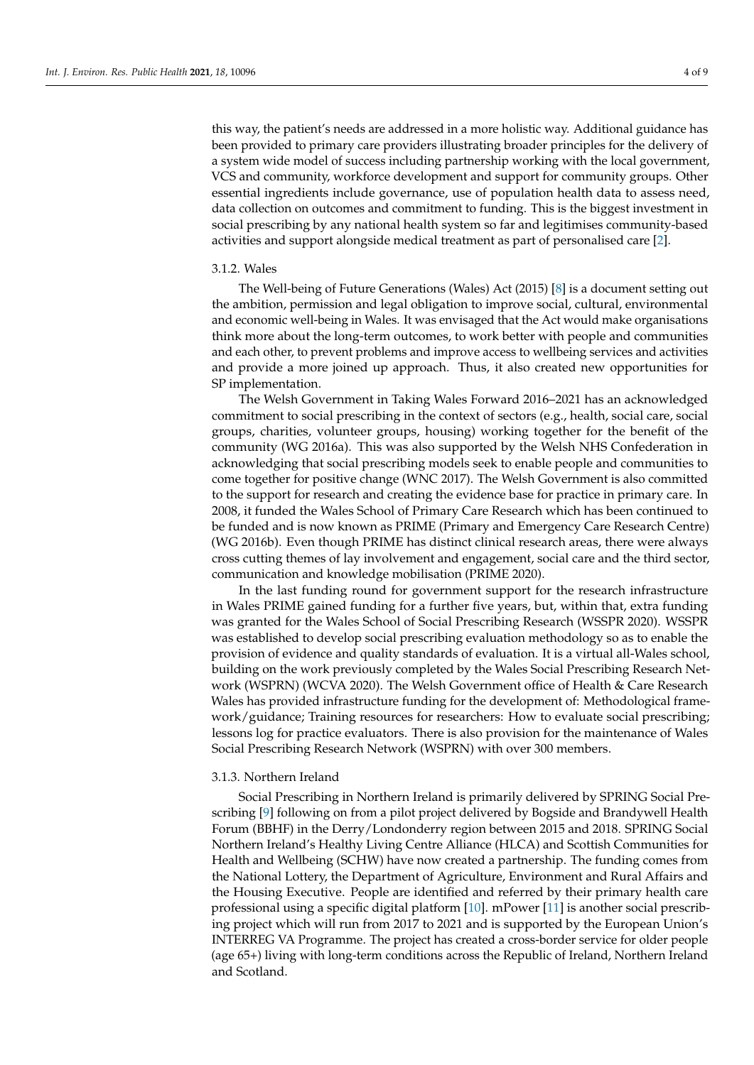this way, the patient's needs are addressed in a more holistic way. Additional guidance has been provided to primary care providers illustrating broader principles for the delivery of a system wide model of success including partnership working with the local government, VCS and community, workforce development and support for community groups. Other essential ingredients include governance, use of population health data to assess need, data collection on outcomes and commitment to funding. This is the biggest investment in social prescribing by any national health system so far and legitimises community-based activities and support alongside medical treatment as part of personalised care [\[2\]](#page-8-1).

#### 3.1.2. Wales

The Well-being of Future Generations (Wales) Act (2015) [\[8\]](#page-8-7) is a document setting out the ambition, permission and legal obligation to improve social, cultural, environmental and economic well-being in Wales. It was envisaged that the Act would make organisations think more about the long-term outcomes, to work better with people and communities and each other, to prevent problems and improve access to wellbeing services and activities and provide a more joined up approach. Thus, it also created new opportunities for SP implementation.

The Welsh Government in Taking Wales Forward 2016–2021 has an acknowledged commitment to social prescribing in the context of sectors (e.g., health, social care, social groups, charities, volunteer groups, housing) working together for the benefit of the community (WG 2016a). This was also supported by the Welsh NHS Confederation in acknowledging that social prescribing models seek to enable people and communities to come together for positive change (WNC 2017). The Welsh Government is also committed to the support for research and creating the evidence base for practice in primary care. In 2008, it funded the Wales School of Primary Care Research which has been continued to be funded and is now known as PRIME (Primary and Emergency Care Research Centre) (WG 2016b). Even though PRIME has distinct clinical research areas, there were always cross cutting themes of lay involvement and engagement, social care and the third sector, communication and knowledge mobilisation (PRIME 2020).

In the last funding round for government support for the research infrastructure in Wales PRIME gained funding for a further five years, but, within that, extra funding was granted for the Wales School of Social Prescribing Research (WSSPR 2020). WSSPR was established to develop social prescribing evaluation methodology so as to enable the provision of evidence and quality standards of evaluation. It is a virtual all-Wales school, building on the work previously completed by the Wales Social Prescribing Research Network (WSPRN) (WCVA 2020). The Welsh Government office of Health & Care Research Wales has provided infrastructure funding for the development of: Methodological framework/guidance; Training resources for researchers: How to evaluate social prescribing; lessons log for practice evaluators. There is also provision for the maintenance of Wales Social Prescribing Research Network (WSPRN) with over 300 members.

#### 3.1.3. Northern Ireland

Social Prescribing in Northern Ireland is primarily delivered by SPRING Social Prescribing [\[9\]](#page-8-8) following on from a pilot project delivered by Bogside and Brandywell Health Forum (BBHF) in the Derry/Londonderry region between 2015 and 2018. SPRING Social Northern Ireland's Healthy Living Centre Alliance (HLCA) and Scottish Communities for Health and Wellbeing (SCHW) have now created a partnership. The funding comes from the National Lottery, the Department of Agriculture, Environment and Rural Affairs and the Housing Executive. People are identified and referred by their primary health care professional using a specific digital platform [\[10\]](#page-8-9). mPower [\[11\]](#page-8-10) is another social prescribing project which will run from 2017 to 2021 and is supported by the European Union's INTERREG VA Programme. The project has created a cross-border service for older people (age 65+) living with long-term conditions across the Republic of Ireland, Northern Ireland and Scotland.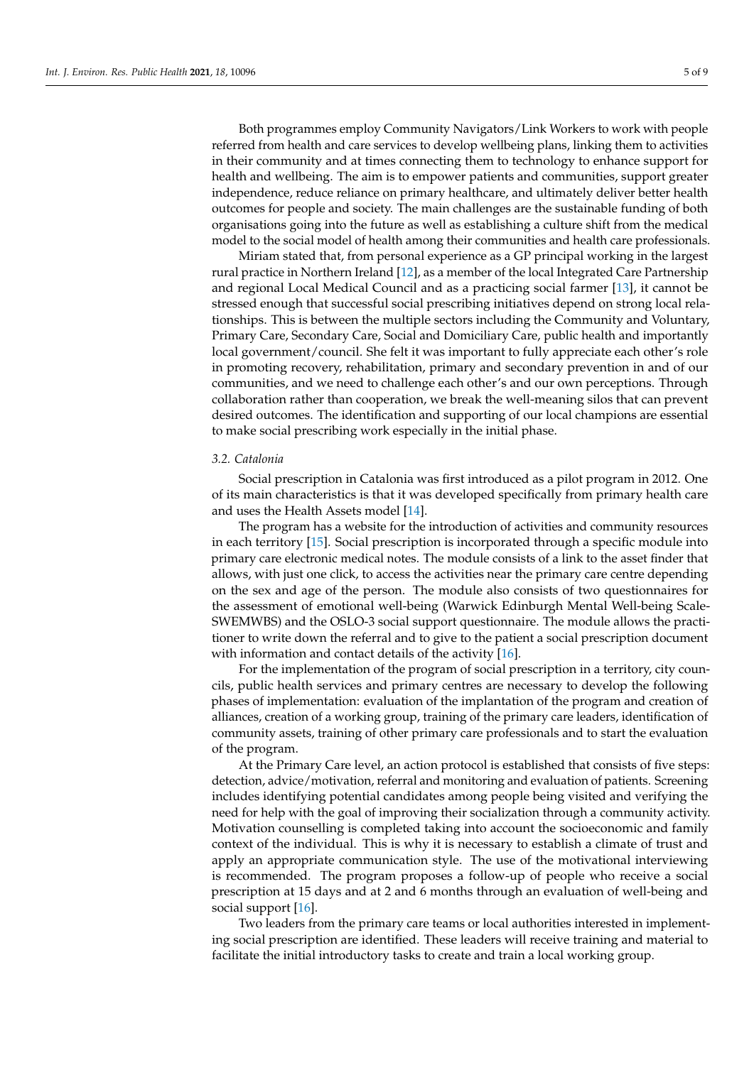Both programmes employ Community Navigators/Link Workers to work with people referred from health and care services to develop wellbeing plans, linking them to activities in their community and at times connecting them to technology to enhance support for health and wellbeing. The aim is to empower patients and communities, support greater independence, reduce reliance on primary healthcare, and ultimately deliver better health outcomes for people and society. The main challenges are the sustainable funding of both organisations going into the future as well as establishing a culture shift from the medical model to the social model of health among their communities and health care professionals.

Miriam stated that, from personal experience as a GP principal working in the largest rural practice in Northern Ireland [\[12\]](#page-8-11), as a member of the local Integrated Care Partnership and regional Local Medical Council and as a practicing social farmer [\[13\]](#page-8-12), it cannot be stressed enough that successful social prescribing initiatives depend on strong local relationships. This is between the multiple sectors including the Community and Voluntary, Primary Care, Secondary Care, Social and Domiciliary Care, public health and importantly local government/council. She felt it was important to fully appreciate each other's role in promoting recovery, rehabilitation, primary and secondary prevention in and of our communities, and we need to challenge each other's and our own perceptions. Through collaboration rather than cooperation, we break the well-meaning silos that can prevent desired outcomes. The identification and supporting of our local champions are essential to make social prescribing work especially in the initial phase.

#### *3.2. Catalonia*

Social prescription in Catalonia was first introduced as a pilot program in 2012. One of its main characteristics is that it was developed specifically from primary health care and uses the Health Assets model [\[14\]](#page-8-13).

The program has a website for the introduction of activities and community resources in each territory [\[15\]](#page-8-14). Social prescription is incorporated through a specific module into primary care electronic medical notes. The module consists of a link to the asset finder that allows, with just one click, to access the activities near the primary care centre depending on the sex and age of the person. The module also consists of two questionnaires for the assessment of emotional well-being (Warwick Edinburgh Mental Well-being Scale-SWEMWBS) and the OSLO-3 social support questionnaire. The module allows the practitioner to write down the referral and to give to the patient a social prescription document with information and contact details of the activity [\[16\]](#page-8-15).

For the implementation of the program of social prescription in a territory, city councils, public health services and primary centres are necessary to develop the following phases of implementation: evaluation of the implantation of the program and creation of alliances, creation of a working group, training of the primary care leaders, identification of community assets, training of other primary care professionals and to start the evaluation of the program.

At the Primary Care level, an action protocol is established that consists of five steps: detection, advice/motivation, referral and monitoring and evaluation of patients. Screening includes identifying potential candidates among people being visited and verifying the need for help with the goal of improving their socialization through a community activity. Motivation counselling is completed taking into account the socioeconomic and family context of the individual. This is why it is necessary to establish a climate of trust and apply an appropriate communication style. The use of the motivational interviewing is recommended. The program proposes a follow-up of people who receive a social prescription at 15 days and at 2 and 6 months through an evaluation of well-being and social support [\[16\]](#page-8-15).

Two leaders from the primary care teams or local authorities interested in implementing social prescription are identified. These leaders will receive training and material to facilitate the initial introductory tasks to create and train a local working group.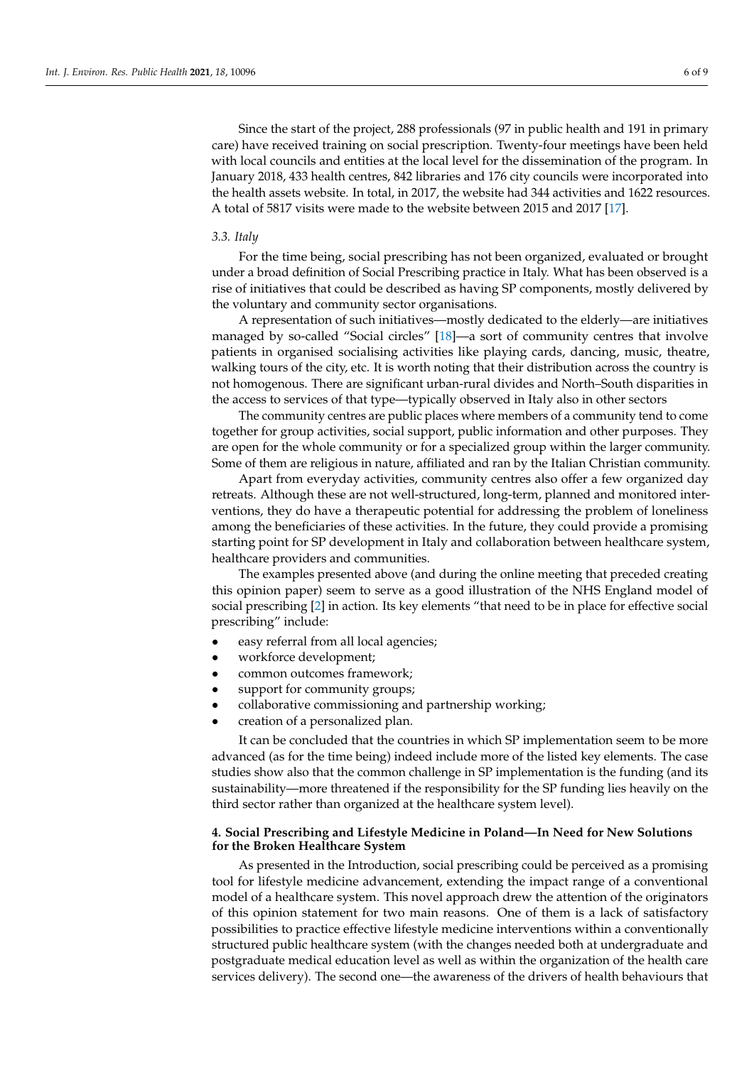Since the start of the project, 288 professionals (97 in public health and 191 in primary care) have received training on social prescription. Twenty-four meetings have been held with local councils and entities at the local level for the dissemination of the program. In January 2018, 433 health centres, 842 libraries and 176 city councils were incorporated into the health assets website. In total, in 2017, the website had 344 activities and 1622 resources. A total of 5817 visits were made to the website between 2015 and 2017 [\[17\]](#page-8-16).

#### *3.3. Italy*

For the time being, social prescribing has not been organized, evaluated or brought under a broad definition of Social Prescribing practice in Italy. What has been observed is a rise of initiatives that could be described as having SP components, mostly delivered by the voluntary and community sector organisations.

A representation of such initiatives—mostly dedicated to the elderly—are initiatives managed by so-called "Social circles" [\[18\]](#page-8-17)—a sort of community centres that involve patients in organised socialising activities like playing cards, dancing, music, theatre, walking tours of the city, etc. It is worth noting that their distribution across the country is not homogenous. There are significant urban-rural divides and North–South disparities in the access to services of that type—typically observed in Italy also in other sectors

The community centres are public places where members of a community tend to come together for group activities, social support, public information and other purposes. They are open for the whole community or for a specialized group within the larger community. Some of them are religious in nature, affiliated and ran by the Italian Christian community.

Apart from everyday activities, community centres also offer a few organized day retreats. Although these are not well-structured, long-term, planned and monitored interventions, they do have a therapeutic potential for addressing the problem of loneliness among the beneficiaries of these activities. In the future, they could provide a promising starting point for SP development in Italy and collaboration between healthcare system, healthcare providers and communities.

The examples presented above (and during the online meeting that preceded creating this opinion paper) seem to serve as a good illustration of the NHS England model of social prescribing [\[2\]](#page-8-1) in action. Its key elements "that need to be in place for effective social prescribing" include:

- easy referral from all local agencies;
- workforce development;
- common outcomes framework;
- support for community groups;
- collaborative commissioning and partnership working;
- creation of a personalized plan.

It can be concluded that the countries in which SP implementation seem to be more advanced (as for the time being) indeed include more of the listed key elements. The case studies show also that the common challenge in SP implementation is the funding (and its sustainability—more threatened if the responsibility for the SP funding lies heavily on the third sector rather than organized at the healthcare system level).

#### **4. Social Prescribing and Lifestyle Medicine in Poland—In Need for New Solutions for the Broken Healthcare System**

As presented in the Introduction, social prescribing could be perceived as a promising tool for lifestyle medicine advancement, extending the impact range of a conventional model of a healthcare system. This novel approach drew the attention of the originators of this opinion statement for two main reasons. One of them is a lack of satisfactory possibilities to practice effective lifestyle medicine interventions within a conventionally structured public healthcare system (with the changes needed both at undergraduate and postgraduate medical education level as well as within the organization of the health care services delivery). The second one—the awareness of the drivers of health behaviours that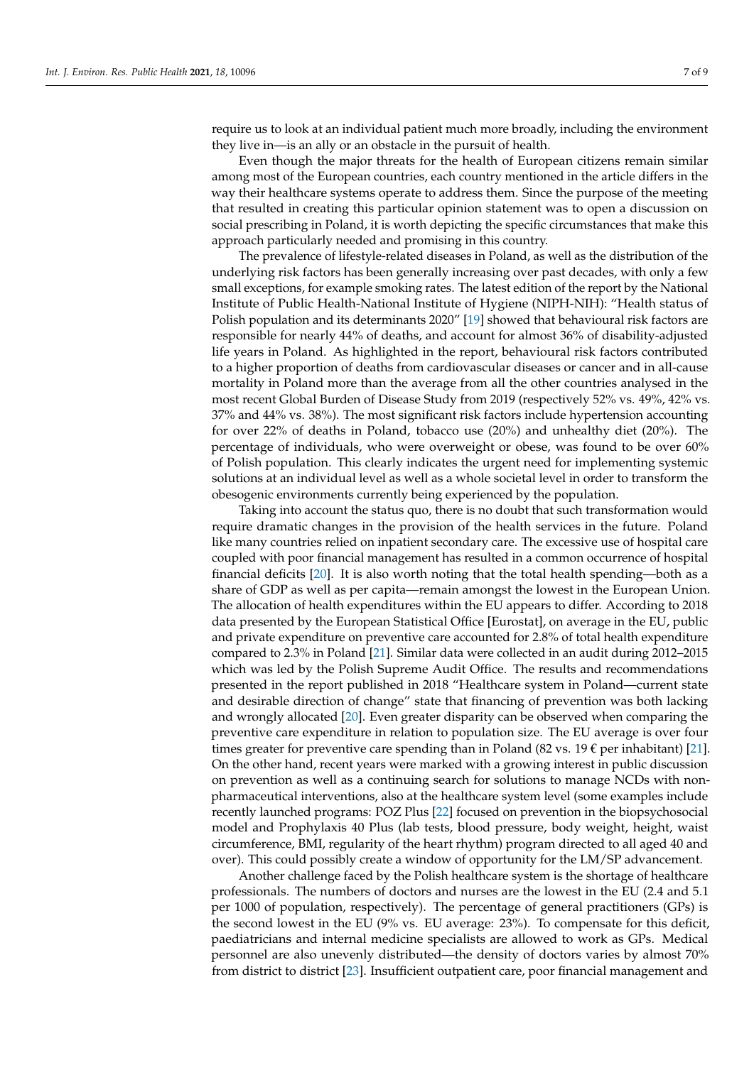require us to look at an individual patient much more broadly, including the environment they live in—is an ally or an obstacle in the pursuit of health.

Even though the major threats for the health of European citizens remain similar among most of the European countries, each country mentioned in the article differs in the way their healthcare systems operate to address them. Since the purpose of the meeting that resulted in creating this particular opinion statement was to open a discussion on social prescribing in Poland, it is worth depicting the specific circumstances that make this approach particularly needed and promising in this country.

The prevalence of lifestyle-related diseases in Poland, as well as the distribution of the underlying risk factors has been generally increasing over past decades, with only a few small exceptions, for example smoking rates. The latest edition of the report by the National Institute of Public Health-National Institute of Hygiene (NIPH-NIH): "Health status of Polish population and its determinants 2020" [\[19\]](#page-8-18) showed that behavioural risk factors are responsible for nearly 44% of deaths, and account for almost 36% of disability-adjusted life years in Poland. As highlighted in the report, behavioural risk factors contributed to a higher proportion of deaths from cardiovascular diseases or cancer and in all-cause mortality in Poland more than the average from all the other countries analysed in the most recent Global Burden of Disease Study from 2019 (respectively 52% vs. 49%, 42% vs. 37% and 44% vs. 38%). The most significant risk factors include hypertension accounting for over 22% of deaths in Poland, tobacco use (20%) and unhealthy diet (20%). The percentage of individuals, who were overweight or obese, was found to be over 60% of Polish population. This clearly indicates the urgent need for implementing systemic solutions at an individual level as well as a whole societal level in order to transform the obesogenic environments currently being experienced by the population.

Taking into account the status quo, there is no doubt that such transformation would require dramatic changes in the provision of the health services in the future. Poland like many countries relied on inpatient secondary care. The excessive use of hospital care coupled with poor financial management has resulted in a common occurrence of hospital financial deficits [\[20\]](#page-8-19). It is also worth noting that the total health spending—both as a share of GDP as well as per capita—remain amongst the lowest in the European Union. The allocation of health expenditures within the EU appears to differ. According to 2018 data presented by the European Statistical Office [Eurostat], on average in the EU, public and private expenditure on preventive care accounted for 2.8% of total health expenditure compared to 2.3% in Poland [\[21\]](#page-8-20). Similar data were collected in an audit during 2012–2015 which was led by the Polish Supreme Audit Office. The results and recommendations presented in the report published in 2018 "Healthcare system in Poland—current state and desirable direction of change" state that financing of prevention was both lacking and wrongly allocated [\[20\]](#page-8-19). Even greater disparity can be observed when comparing the preventive care expenditure in relation to population size. The EU average is over four times greater for preventive care spending than in Poland (82 vs. 19  $\epsilon$  per inhabitant) [\[21\]](#page-8-20). On the other hand, recent years were marked with a growing interest in public discussion on prevention as well as a continuing search for solutions to manage NCDs with nonpharmaceutical interventions, also at the healthcare system level (some examples include recently launched programs: POZ Plus [\[22\]](#page-8-21) focused on prevention in the biopsychosocial model and Prophylaxis 40 Plus (lab tests, blood pressure, body weight, height, waist circumference, BMI, regularity of the heart rhythm) program directed to all aged 40 and over). This could possibly create a window of opportunity for the LM/SP advancement.

Another challenge faced by the Polish healthcare system is the shortage of healthcare professionals. The numbers of doctors and nurses are the lowest in the EU (2.4 and 5.1 per 1000 of population, respectively). The percentage of general practitioners (GPs) is the second lowest in the EU (9% vs. EU average: 23%). To compensate for this deficit, paediatricians and internal medicine specialists are allowed to work as GPs. Medical personnel are also unevenly distributed—the density of doctors varies by almost 70% from district to district [\[23\]](#page-8-22). Insufficient outpatient care, poor financial management and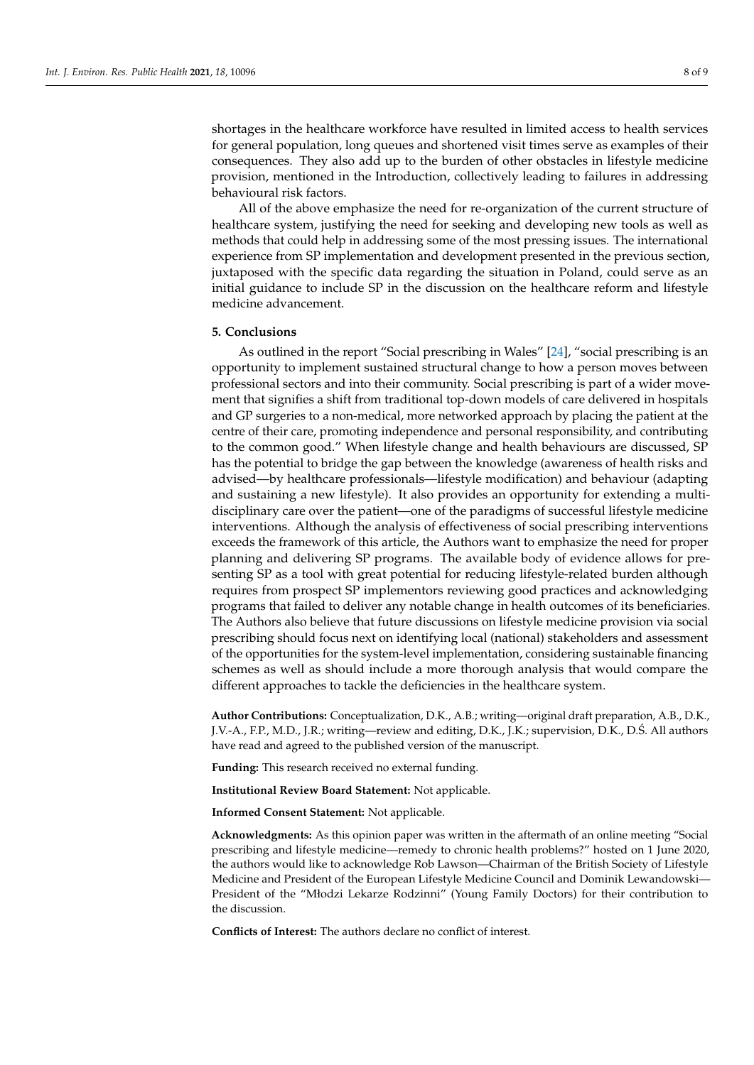shortages in the healthcare workforce have resulted in limited access to health services for general population, long queues and shortened visit times serve as examples of their consequences. They also add up to the burden of other obstacles in lifestyle medicine provision, mentioned in the Introduction, collectively leading to failures in addressing behavioural risk factors.

All of the above emphasize the need for re-organization of the current structure of healthcare system, justifying the need for seeking and developing new tools as well as methods that could help in addressing some of the most pressing issues. The international experience from SP implementation and development presented in the previous section, juxtaposed with the specific data regarding the situation in Poland, could serve as an initial guidance to include SP in the discussion on the healthcare reform and lifestyle medicine advancement.

#### **5. Conclusions**

As outlined in the report "Social prescribing in Wales" [\[24\]](#page-8-23), "social prescribing is an opportunity to implement sustained structural change to how a person moves between professional sectors and into their community. Social prescribing is part of a wider movement that signifies a shift from traditional top-down models of care delivered in hospitals and GP surgeries to a non-medical, more networked approach by placing the patient at the centre of their care, promoting independence and personal responsibility, and contributing to the common good." When lifestyle change and health behaviours are discussed, SP has the potential to bridge the gap between the knowledge (awareness of health risks and advised—by healthcare professionals—lifestyle modification) and behaviour (adapting and sustaining a new lifestyle). It also provides an opportunity for extending a multidisciplinary care over the patient—one of the paradigms of successful lifestyle medicine interventions. Although the analysis of effectiveness of social prescribing interventions exceeds the framework of this article, the Authors want to emphasize the need for proper planning and delivering SP programs. The available body of evidence allows for presenting SP as a tool with great potential for reducing lifestyle-related burden although requires from prospect SP implementors reviewing good practices and acknowledging programs that failed to deliver any notable change in health outcomes of its beneficiaries. The Authors also believe that future discussions on lifestyle medicine provision via social prescribing should focus next on identifying local (national) stakeholders and assessment of the opportunities for the system-level implementation, considering sustainable financing schemes as well as should include a more thorough analysis that would compare the different approaches to tackle the deficiencies in the healthcare system.

**Author Contributions:** Conceptualization, D.K., A.B.; writing—original draft preparation, A.B., D.K., J.V.-A., F.P., M.D., J.R.; writing—review and editing, D.K., J.K.; supervision, D.K., D.S. All authors ´ have read and agreed to the published version of the manuscript.

**Funding:** This research received no external funding.

**Institutional Review Board Statement:** Not applicable.

**Informed Consent Statement:** Not applicable.

**Acknowledgments:** As this opinion paper was written in the aftermath of an online meeting "Social prescribing and lifestyle medicine—remedy to chronic health problems?" hosted on 1 June 2020, the authors would like to acknowledge Rob Lawson—Chairman of the British Society of Lifestyle Medicine and President of the European Lifestyle Medicine Council and Dominik Lewandowski— President of the "Młodzi Lekarze Rodzinni" (Young Family Doctors) for their contribution to the discussion.

**Conflicts of Interest:** The authors declare no conflict of interest.